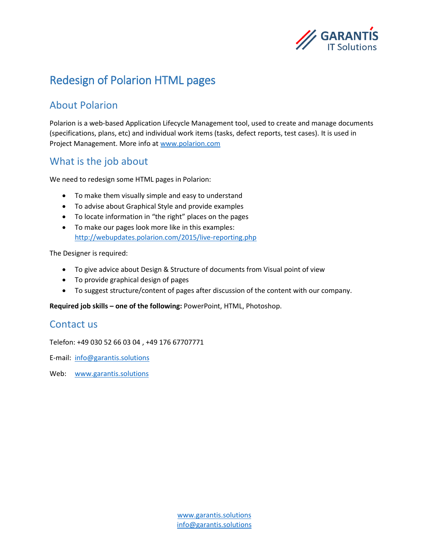

# Redesign of Polarion HTML pages

### About Polarion

Polarion is a web-based Application Lifecycle Management tool, used to create and manage documents (specifications, plans, etc) and individual work items (tasks, defect reports, test cases). It is used in Project Management. More info at [www.polarion.com](http://www.polarion.com/)

### What is the job about

We need to redesign some HTML pages in Polarion:

- To make them visually simple and easy to understand
- To advise about Graphical Style and provide examples
- To locate information in "the right" places on the pages
- To make our pages look more like in this examples: <http://webupdates.polarion.com/2015/live-reporting.php>

The Designer is required:

- To give advice about Design & Structure of documents from Visual point of view
- To provide graphical design of pages
- To suggest structure/content of pages after discussion of the content with our company.

**Required job skills – one of the following:** PowerPoint, HTML, Photoshop.

#### Contact us

Telefon: +49 030 52 66 03 04 , +49 176 67707771

E-mail: [info@garantis.solutions](mailto:info@garantis.solutions)

Web: [www.garantis.solutions](http://www.garantis.solutions/)